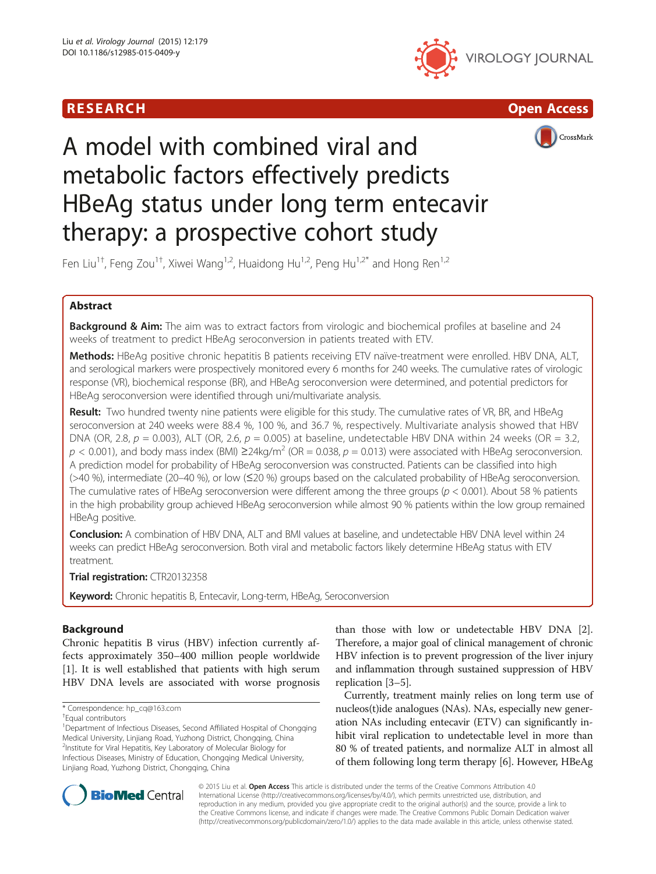





# A model with combined viral and metabolic factors effectively predicts HBeAg status under long term entecavir therapy: a prospective cohort study

Fen Liu<sup>1†</sup>, Feng Zou<sup>1†</sup>, Xiwei Wang<sup>1,2</sup>, Huaidong Hu<sup>1,2</sup>, Peng Hu<sup>1,2\*</sup> and Hong Ren<sup>1,2</sup>

# Abstract

Background & Aim: The aim was to extract factors from virologic and biochemical profiles at baseline and 24 weeks of treatment to predict HBeAg seroconversion in patients treated with ETV.

Methods: HBeAg positive chronic hepatitis B patients receiving ETV naïve-treatment were enrolled. HBV DNA, ALT, and serological markers were prospectively monitored every 6 months for 240 weeks. The cumulative rates of virologic response (VR), biochemical response (BR), and HBeAg seroconversion were determined, and potential predictors for HBeAg seroconversion were identified through uni/multivariate analysis.

Result: Two hundred twenty nine patients were eligible for this study. The cumulative rates of VR, BR, and HBeAg seroconversion at 240 weeks were 88.4 %, 100 %, and 36.7 %, respectively. Multivariate analysis showed that HBV DNA (OR, 2.8,  $p = 0.003$ ), ALT (OR, 2.6,  $p = 0.005$ ) at baseline, undetectable HBV DNA within 24 weeks (OR = 3.2,  $p < 0.001$ ), and body mass index (BMI)  $\geq$ 24kg/m<sup>2</sup> (OR = 0.038, p = 0.013) were associated with HBeAg seroconversion. A prediction model for probability of HBeAg seroconversion was constructed. Patients can be classified into high (>40 %), intermediate (20–40 %), or low (≤20 %) groups based on the calculated probability of HBeAg seroconversion. The cumulative rates of HBeAg seroconversion were different among the three groups ( $p < 0.001$ ). About 58 % patients in the high probability group achieved HBeAg seroconversion while almost 90 % patients within the low group remained HBeAg positive.

Conclusion: A combination of HBV DNA, ALT and BMI values at baseline, and undetectable HBV DNA level within 24 weeks can predict HBeAg seroconversion. Both viral and metabolic factors likely determine HBeAg status with ETV treatment.

Trial registration: [CTR20132358](http://www.chinadrugtrials.org.cn/eap/clinicaltrials.searchlist)

Keyword: Chronic hepatitis B, Entecavir, Long-term, HBeAg, Seroconversion

# Background

Chronic hepatitis B virus (HBV) infection currently affects approximately 350–400 million people worldwide [[1\]](#page-9-0). It is well established that patients with high serum HBV DNA levels are associated with worse prognosis

\* Correspondence: [hp\\_cq@163.com](mailto:hp_cq@163.com) †

<sup>1</sup>Department of Infectious Diseases, Second Affiliated Hospital of Chongqing Medical University, Linjiang Road, Yuzhong District, Chongqing, China 2 Institute for Viral Hepatitis, Key Laboratory of Molecular Biology for Infectious Diseases, Ministry of Education, Chongqing Medical University, Linjiang Road, Yuzhong District, Chongqing, China

than those with low or undetectable HBV DNA [\[2](#page-9-0)]. Therefore, a major goal of clinical management of chronic HBV infection is to prevent progression of the liver injury and inflammation through sustained suppression of HBV replication [\[3](#page-9-0)–[5](#page-9-0)].

Currently, treatment mainly relies on long term use of nucleos(t)ide analogues (NAs). NAs, especially new generation NAs including entecavir (ETV) can significantly inhibit viral replication to undetectable level in more than 80 % of treated patients, and normalize ALT in almost all of them following long term therapy [[6](#page-9-0)]. However, HBeAg



© 2015 Liu et al. Open Access This article is distributed under the terms of the Creative Commons Attribution 4.0 International License [\(http://creativecommons.org/licenses/by/4.0/](http://creativecommons.org/licenses/by/4.0/)), which permits unrestricted use, distribution, and reproduction in any medium, provided you give appropriate credit to the original author(s) and the source, provide a link to the Creative Commons license, and indicate if changes were made. The Creative Commons Public Domain Dedication waiver [\(http://creativecommons.org/publicdomain/zero/1.0/](http://creativecommons.org/publicdomain/zero/1.0/)) applies to the data made available in this article, unless otherwise stated.

Equal contributors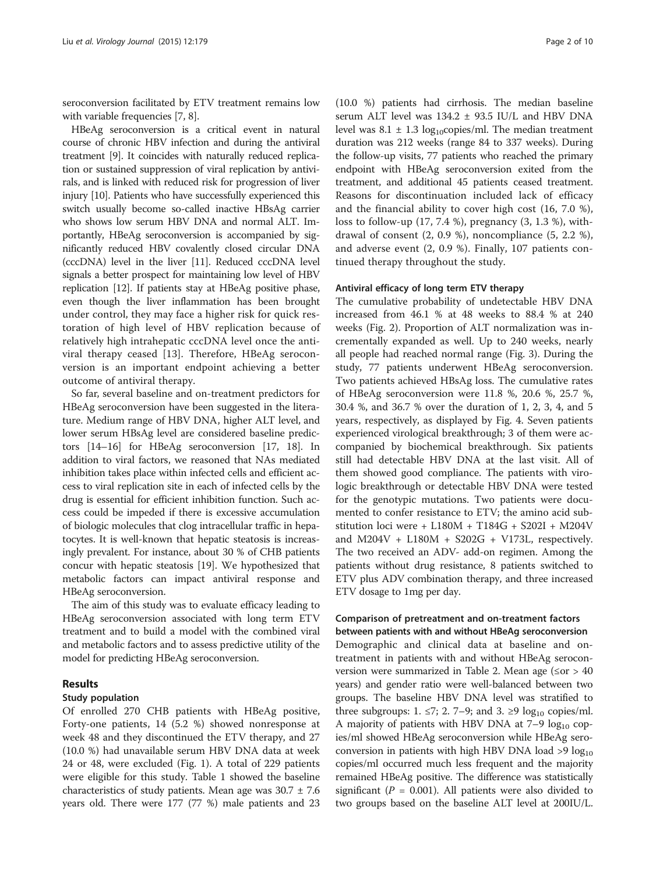seroconversion facilitated by ETV treatment remains low with variable frequencies [\[7](#page-9-0), [8\]](#page-9-0).

HBeAg seroconversion is a critical event in natural course of chronic HBV infection and during the antiviral treatment [\[9\]](#page-9-0). It coincides with naturally reduced replication or sustained suppression of viral replication by antivirals, and is linked with reduced risk for progression of liver injury [\[10](#page-9-0)]. Patients who have successfully experienced this switch usually become so-called inactive HBsAg carrier who shows low serum HBV DNA and normal ALT. Importantly, HBeAg seroconversion is accompanied by significantly reduced HBV covalently closed circular DNA (cccDNA) level in the liver [[11](#page-9-0)]. Reduced cccDNA level signals a better prospect for maintaining low level of HBV replication [[12](#page-9-0)]. If patients stay at HBeAg positive phase, even though the liver inflammation has been brought under control, they may face a higher risk for quick restoration of high level of HBV replication because of relatively high intrahepatic cccDNA level once the antiviral therapy ceased [\[13](#page-9-0)]. Therefore, HBeAg seroconversion is an important endpoint achieving a better outcome of antiviral therapy.

So far, several baseline and on-treatment predictors for HBeAg seroconversion have been suggested in the literature. Medium range of HBV DNA, higher ALT level, and lower serum HBsAg level are considered baseline predictors [\[14](#page-9-0)–[16](#page-9-0)] for HBeAg seroconversion [[17](#page-9-0), [18\]](#page-9-0). In addition to viral factors, we reasoned that NAs mediated inhibition takes place within infected cells and efficient access to viral replication site in each of infected cells by the drug is essential for efficient inhibition function. Such access could be impeded if there is excessive accumulation of biologic molecules that clog intracellular traffic in hepatocytes. It is well-known that hepatic steatosis is increasingly prevalent. For instance, about 30 % of CHB patients concur with hepatic steatosis [\[19](#page-9-0)]. We hypothesized that metabolic factors can impact antiviral response and HBeAg seroconversion.

The aim of this study was to evaluate efficacy leading to HBeAg seroconversion associated with long term ETV treatment and to build a model with the combined viral and metabolic factors and to assess predictive utility of the model for predicting HBeAg seroconversion.

# Results

# Study population

Of enrolled 270 CHB patients with HBeAg positive, Forty-one patients, 14 (5.2 %) showed nonresponse at week 48 and they discontinued the ETV therapy, and 27 (10.0 %) had unavailable serum HBV DNA data at week 24 or 48, were excluded (Fig. [1\)](#page-2-0). A total of 229 patients were eligible for this study. Table [1](#page-2-0) showed the baseline characteristics of study patients. Mean age was  $30.7 \pm 7.6$ years old. There were 177 (77 %) male patients and 23

(10.0 %) patients had cirrhosis. The median baseline serum ALT level was 134.2 ± 93.5 IU/L and HBV DNA level was  $8.1 \pm 1.3 \text{ log}_{10}$ copies/ml. The median treatment duration was 212 weeks (range 84 to 337 weeks). During the follow-up visits, 77 patients who reached the primary endpoint with HBeAg seroconversion exited from the treatment, and additional 45 patients ceased treatment. Reasons for discontinuation included lack of efficacy and the financial ability to cover high cost (16, 7.0 %), loss to follow-up (17, 7.4 %), pregnancy (3, 1.3 %), withdrawal of consent (2, 0.9 %), noncompliance (5, 2.2 %), and adverse event (2, 0.9 %). Finally, 107 patients continued therapy throughout the study.

# Antiviral efficacy of long term ETV therapy

The cumulative probability of undetectable HBV DNA increased from 46.1 % at 48 weeks to 88.4 % at 240 weeks (Fig. [2\)](#page-3-0). Proportion of ALT normalization was incrementally expanded as well. Up to 240 weeks, nearly all people had reached normal range (Fig. [3](#page-3-0)). During the study, 77 patients underwent HBeAg seroconversion. Two patients achieved HBsAg loss. The cumulative rates of HBeAg seroconversion were 11.8 %, 20.6 %, 25.7 %, 30.4 %, and 36.7 % over the duration of 1, 2, 3, 4, and 5 years, respectively, as displayed by Fig. [4](#page-4-0). Seven patients experienced virological breakthrough; 3 of them were accompanied by biochemical breakthrough. Six patients still had detectable HBV DNA at the last visit. All of them showed good compliance. The patients with virologic breakthrough or detectable HBV DNA were tested for the genotypic mutations. Two patients were documented to confer resistance to ETV; the amino acid substitution loci were + L180M + T184G + S202I + M204V and  $M204V + L180M + S202G + V173L$ , respectively. The two received an ADV- add-on regimen. Among the patients without drug resistance, 8 patients switched to ETV plus ADV combination therapy, and three increased ETV dosage to 1mg per day.

# Comparison of pretreatment and on-treatment factors between patients with and without HBeAg seroconversion

Demographic and clinical data at baseline and ontreatment in patients with and without HBeAg serocon-version were summarized in Table [2](#page-4-0). Mean age ( $\leq$ or > 40 years) and gender ratio were well-balanced between two groups. The baseline HBV DNA level was stratified to three subgroups: 1. ≤7; 2. 7–9; and 3. ≥9  $log_{10}$  copies/ml. A majority of patients with HBV DNA at  $7-9 \log_{10}$  copies/ml showed HBeAg seroconversion while HBeAg seroconversion in patients with high HBV DNA load  $>9 \log_{10}$ copies/ml occurred much less frequent and the majority remained HBeAg positive. The difference was statistically significant ( $P = 0.001$ ). All patients were also divided to two groups based on the baseline ALT level at 200IU/L.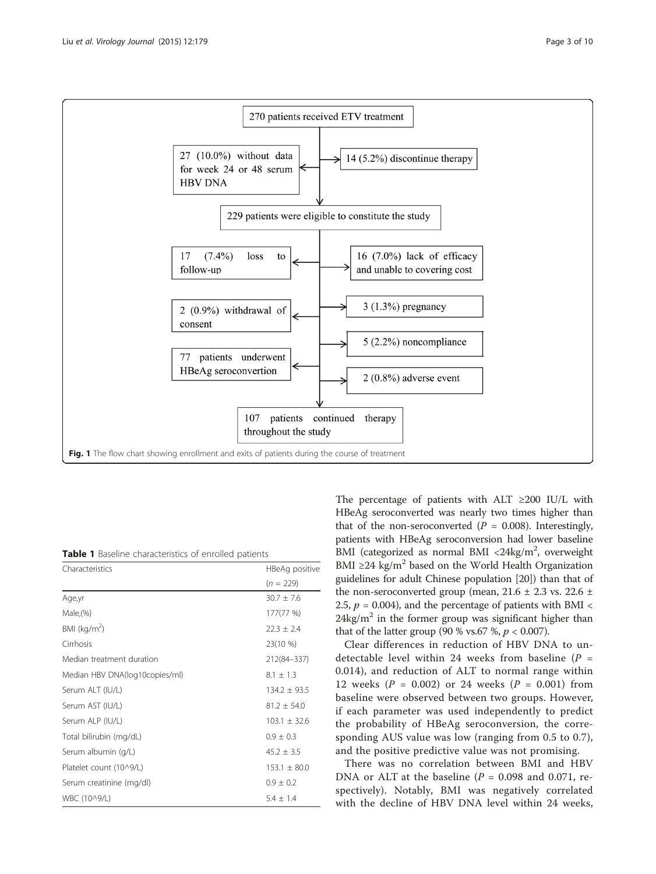<span id="page-2-0"></span>

Table 1 Baseline characteristics of enrolled patients

| Characteristics                | HBeAg positive   |  |
|--------------------------------|------------------|--|
|                                | $(n = 229)$      |  |
| Age,yr                         | $30.7 \pm 7.6$   |  |
| Male(%)                        | 177(77 %)        |  |
| BMI ( $kg/m2$ )                | $22.3 \pm 2.4$   |  |
| Cirrhosis                      | 23(10 %)         |  |
| Median treatment duration      | 212(84-337)      |  |
| Median HBV DNA(log10copies/ml) | $8.1 \pm 1.3$    |  |
| Serum ALT (IU/L)               | $134.2 \pm 93.5$ |  |
| Serum AST (IU/L)               | $81.2 \pm 54.0$  |  |
| Serum ALP (IU/L)               | $103.1 \pm 32.6$ |  |
| Total bilirubin (mg/dL)        | $0.9 \pm 0.3$    |  |
| Serum albumin (g/L)            | $45.2 \pm 3.5$   |  |
| Platelet count (10^9/L)        | $153.1 \pm 80.0$ |  |
| Serum creatinine (mg/dl)       | $0.9 \pm 0.2$    |  |
| WBC (10^9/L)                   | $5.4 + 1.4$      |  |

The percentage of patients with ALT ≥200 IU/L with HBeAg seroconverted was nearly two times higher than that of the non-seroconverted ( $P = 0.008$ ). Interestingly, patients with HBeAg seroconversion had lower baseline BMI (categorized as normal BMI <24kg/ $m^2$ , overweight BMI ≥24 kg/m<sup>2</sup> based on the World Health Organization guidelines for adult Chinese population [\[20\]](#page-9-0)) than that of the non-seroconverted group (mean,  $21.6 \pm 2.3$  vs.  $22.6 \pm$ 2.5,  $p = 0.004$ ), and the percentage of patients with BMI <  $24\text{kg/m}^2$  in the former group was significant higher than that of the latter group (90 % vs.67 %,  $p < 0.007$ ).

Clear differences in reduction of HBV DNA to undetectable level within 24 weeks from baseline  $(P =$ 0.014), and reduction of ALT to normal range within 12 weeks ( $P = 0.002$ ) or 24 weeks ( $P = 0.001$ ) from baseline were observed between two groups. However, if each parameter was used independently to predict the probability of HBeAg seroconversion, the corresponding AUS value was low (ranging from 0.5 to 0.7), and the positive predictive value was not promising.

There was no correlation between BMI and HBV DNA or ALT at the baseline ( $P = 0.098$  and 0.071, respectively). Notably, BMI was negatively correlated with the decline of HBV DNA level within 24 weeks,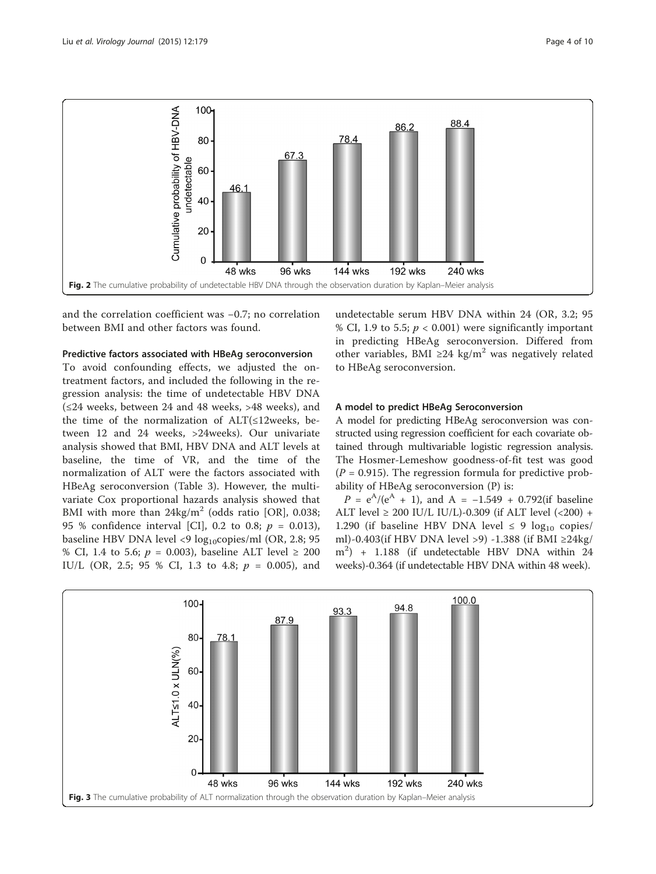<span id="page-3-0"></span>

and the correlation coefficient was −0.7; no correlation between BMI and other factors was found.

# Predictive factors associated with HBeAg seroconversion

To avoid confounding effects, we adjusted the ontreatment factors, and included the following in the regression analysis: the time of undetectable HBV DNA (≤24 weeks, between 24 and 48 weeks, >48 weeks), and the time of the normalization of ALT(≤12weeks, between 12 and 24 weeks, >24weeks). Our univariate analysis showed that BMI, HBV DNA and ALT levels at baseline, the time of VR, and the time of the normalization of ALT were the factors associated with HBeAg seroconversion (Table [3\)](#page-5-0). However, the multivariate Cox proportional hazards analysis showed that BMI with more than  $24\text{kg/m}^2$  (odds ratio [OR], 0.038; 95 % confidence interval [CI], 0.2 to 0.8;  $p = 0.013$ ), baseline HBV DNA level <9 log<sub>10</sub>copies/ml (OR, 2.8; 95 % CI, 1.4 to 5.6;  $p = 0.003$ ), baseline ALT level  $\ge 200$ IU/L (OR, 2.5; 95 % CI, 1.3 to 4.8;  $p = 0.005$ ), and

undetectable serum HBV DNA within 24 (OR, 3.2; 95 % CI, 1.9 to 5.5;  $p < 0.001$ ) were significantly important in predicting HBeAg seroconversion. Differed from other variables, BMI ≥24 kg/m<sup>2</sup> was negatively related to HBeAg seroconversion.

# A model to predict HBeAg Seroconversion

A model for predicting HBeAg seroconversion was constructed using regression coefficient for each covariate obtained through multivariable logistic regression analysis. The Hosmer-Lemeshow goodness-of-fit test was good  $(P = 0.915)$ . The regression formula for predictive probability of HBeAg seroconversion (P) is:

 $P = e^{A}/(e^{A} + 1)$ , and  $A = -1.549 + 0.792$  (if baseline ALT level  $\geq 200$  IU/L IU/L)-0.309 (if ALT level (<200) + 1.290 (if baseline HBV DNA level  $\leq$  9 log<sub>10</sub> copies/ ml)-0.403(if HBV DNA level >9) -1.388 (if BMI ≥24kg/ m2 ) + 1.188 (if undetectable HBV DNA within 24 weeks)-0.364 (if undetectable HBV DNA within 48 week).

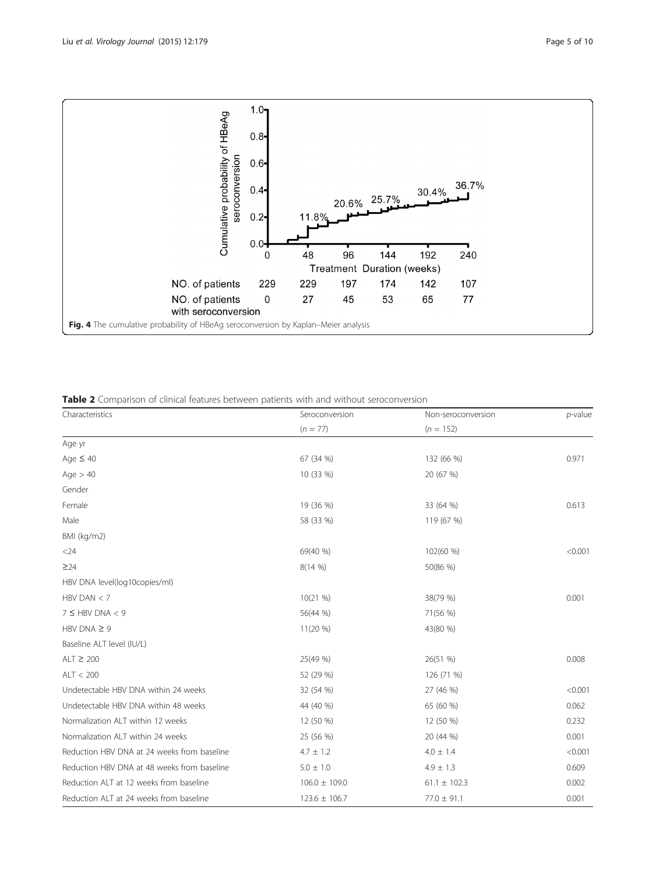<span id="page-4-0"></span>

Table 2 Comparison of clinical features between patients with and without seroconversion

| Characteristics                             | Seroconversion    | Non-seroconversion | $p$ -value |
|---------------------------------------------|-------------------|--------------------|------------|
|                                             | $(n = 77)$        | $(n = 152)$        |            |
| Age yr                                      |                   |                    |            |
| Age $\leq 40$                               | 67 (34 %)         | 132 (66 %)         | 0.971      |
| Age $> 40$                                  | 10 (33 %)         | 20 (67 %)          |            |
| Gender                                      |                   |                    |            |
| Female                                      | 19 (36 %)         | 33 (64 %)          | 0.613      |
| Male                                        | 58 (33 %)         | 119 (67 %)         |            |
| BMI (kg/m2)                                 |                   |                    |            |
| $<$ 24                                      | 69(40 %)          | 102(60 %)          | < 0.001    |
| $\geq$ 24                                   | 8(14%             | 50(86 %)           |            |
| HBV DNA level(log10copies/ml)               |                   |                    |            |
| HBV DAN $<$ 7                               | 10(21 %)          | 38(79 %)           | 0.001      |
| $7 \leq HBV$ DNA < 9                        | 56(44 %)          | 71(56 %)           |            |
| HBV DNA $\geq$ 9                            | $11(20\%)$        | 43(80 %)           |            |
| Baseline ALT level (IU/L)                   |                   |                    |            |
| $ALT \geq 200$                              | 25(49 %)          | 26(51 %)           | 0.008      |
| ALT < 200                                   | 52 (29 %)         | 126 (71 %)         |            |
| Undetectable HBV DNA within 24 weeks        | 32 (54 %)         | 27 (46 %)          | < 0.001    |
| Undetectable HBV DNA within 48 weeks        | 44 (40 %)         | 65 (60 %)          | 0.062      |
| Normalization ALT within 12 weeks           | 12 (50 %)         | 12 (50 %)          | 0.232      |
| Normalization ALT within 24 weeks           | 25 (56 %)         | 20 (44 %)          | 0.001      |
| Reduction HBV DNA at 24 weeks from baseline | $4.7 \pm 1.2$     | $4.0 \pm 1.4$      | < 0.001    |
| Reduction HBV DNA at 48 weeks from baseline | $5.0 \pm 1.0$     | $4.9 \pm 1.3$      | 0.609      |
| Reduction ALT at 12 weeks from baseline     | $106.0 \pm 109.0$ | $61.1 \pm 102.3$   | 0.002      |
| Reduction ALT at 24 weeks from baseline     | $123.6 \pm 106.7$ | $77.0 \pm 91.1$    | 0.001      |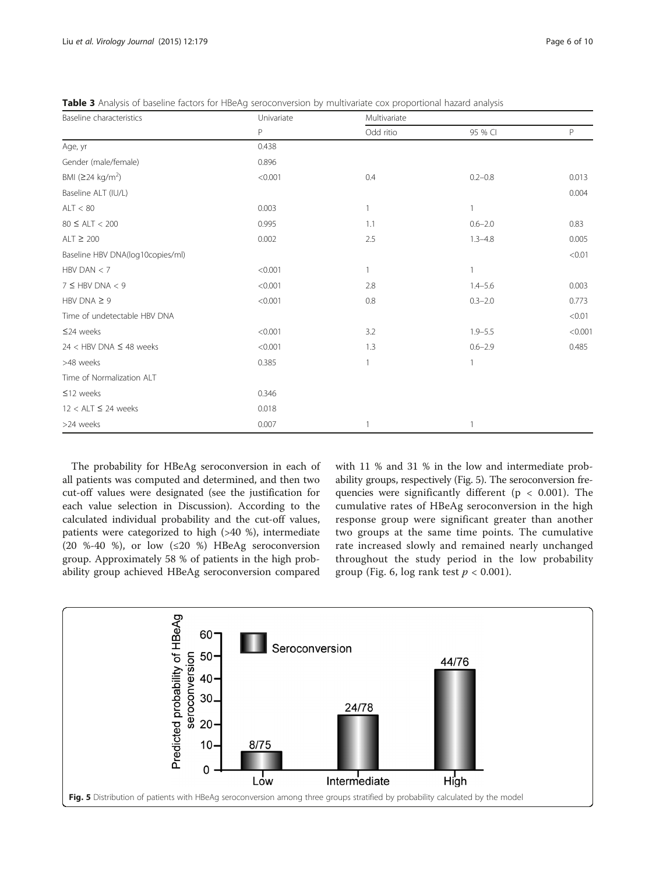<span id="page-5-0"></span>

| Table 3 Analysis of baseline factors for HBeAg seroconversion by multivariate cox proportional hazard analysis |  |  |  |
|----------------------------------------------------------------------------------------------------------------|--|--|--|
|----------------------------------------------------------------------------------------------------------------|--|--|--|

| Baseline characteristics         | Univariate | Multivariate |              |         |  |
|----------------------------------|------------|--------------|--------------|---------|--|
|                                  | P          | Odd ritio    | 95 % CI      | P       |  |
| Age, yr                          | 0.438      |              |              |         |  |
| Gender (male/female)             | 0.896      |              |              |         |  |
| BMI (≥24 kg/m <sup>2</sup> )     | < 0.001    | 0.4          | $0.2 - 0.8$  | 0.013   |  |
| Baseline ALT (IU/L)              |            |              |              | 0.004   |  |
| ALT < 80                         | 0.003      | $\mathbf{1}$ | $\mathbf{1}$ |         |  |
| $80 \leq ALT < 200$              | 0.995      | 1.1          | $0.6 - 2.0$  | 0.83    |  |
| ALT $\geq 200$                   | 0.002      | 2.5          | $1.3 - 4.8$  | 0.005   |  |
| Baseline HBV DNA(log10copies/ml) |            |              |              | < 0.01  |  |
| HBV DAN $<$ 7                    | < 0.001    | 1            | 1            |         |  |
| $7 \leq HBV$ DNA < 9             | < 0.001    | 2.8          | $1.4 - 5.6$  | 0.003   |  |
| HBV DNA $\geq$ 9                 | < 0.001    | 0.8          | $0.3 - 2.0$  | 0.773   |  |
| Time of undetectable HBV DNA     |            |              |              | < 0.01  |  |
| $\leq$ 24 weeks                  | < 0.001    | 3.2          | $1.9 - 5.5$  | < 0.001 |  |
| $24 <$ HBV DNA $\leq 48$ weeks   | < 0.001    | 1.3          | $0.6 - 2.9$  | 0.485   |  |
| >48 weeks                        | 0.385      | $\mathbf{1}$ | $\mathbf{1}$ |         |  |
| Time of Normalization ALT        |            |              |              |         |  |
| $\leq$ 12 weeks                  | 0.346      |              |              |         |  |
| $12 < ALT \leq 24$ weeks         | 0.018      |              |              |         |  |
| >24 weeks                        | 0.007      |              |              |         |  |

The probability for HBeAg seroconversion in each of all patients was computed and determined, and then two cut-off values were designated (see the justification for each value selection in Discussion). According to the calculated individual probability and the cut-off values, patients were categorized to high (>40 %), intermediate (20 %-40 %), or low (≤20 %) HBeAg seroconversion group. Approximately 58 % of patients in the high probability group achieved HBeAg seroconversion compared

with 11 % and 31 % in the low and intermediate probability groups, respectively (Fig. 5). The seroconversion frequencies were significantly different ( $p < 0.001$ ). The cumulative rates of HBeAg seroconversion in the high response group were significant greater than another two groups at the same time points. The cumulative rate increased slowly and remained nearly unchanged throughout the study period in the low probability group (Fig. [6,](#page-6-0) log rank test  $p < 0.001$ ).

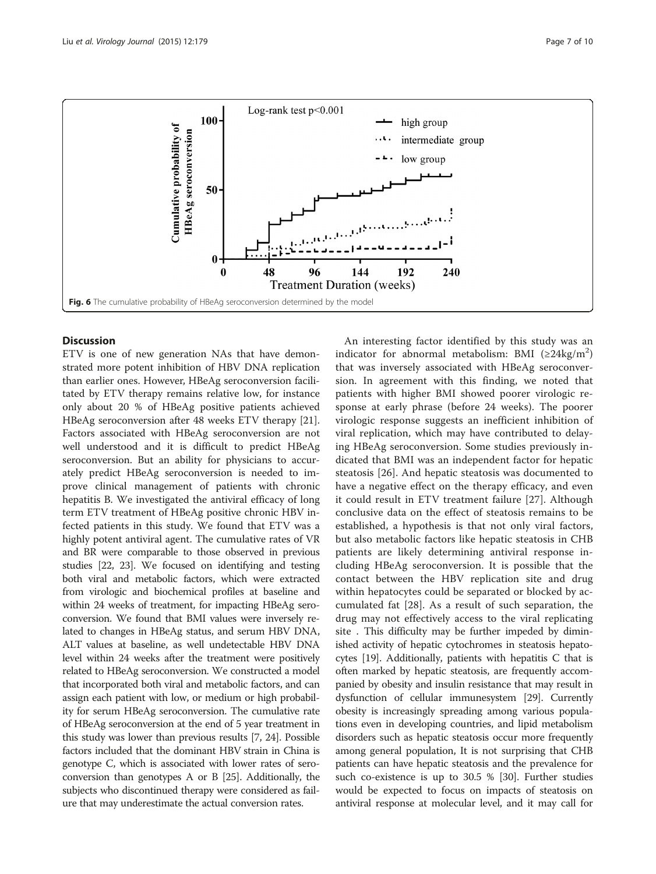<span id="page-6-0"></span>

# **Discussion**

ETV is one of new generation NAs that have demonstrated more potent inhibition of HBV DNA replication than earlier ones. However, HBeAg seroconversion facilitated by ETV therapy remains relative low, for instance only about 20 % of HBeAg positive patients achieved HBeAg seroconversion after 48 weeks ETV therapy [\[21](#page-9-0)]. Factors associated with HBeAg seroconversion are not well understood and it is difficult to predict HBeAg seroconversion. But an ability for physicians to accurately predict HBeAg seroconversion is needed to improve clinical management of patients with chronic hepatitis B. We investigated the antiviral efficacy of long term ETV treatment of HBeAg positive chronic HBV infected patients in this study. We found that ETV was a highly potent antiviral agent. The cumulative rates of VR and BR were comparable to those observed in previous studies [\[22](#page-9-0), [23](#page-9-0)]. We focused on identifying and testing both viral and metabolic factors, which were extracted from virologic and biochemical profiles at baseline and within 24 weeks of treatment, for impacting HBeAg seroconversion. We found that BMI values were inversely related to changes in HBeAg status, and serum HBV DNA, ALT values at baseline, as well undetectable HBV DNA level within 24 weeks after the treatment were positively related to HBeAg seroconversion. We constructed a model that incorporated both viral and metabolic factors, and can assign each patient with low, or medium or high probability for serum HBeAg seroconversion. The cumulative rate of HBeAg seroconversion at the end of 5 year treatment in this study was lower than previous results [\[7, 24\]](#page-9-0). Possible factors included that the dominant HBV strain in China is genotype C, which is associated with lower rates of seroconversion than genotypes A or B [\[25](#page-9-0)]. Additionally, the subjects who discontinued therapy were considered as failure that may underestimate the actual conversion rates.

An interesting factor identified by this study was an indicator for abnormal metabolism: BMI ( $\geq$ 24kg/m<sup>2</sup>) that was inversely associated with HBeAg seroconversion. In agreement with this finding, we noted that patients with higher BMI showed poorer virologic response at early phrase (before 24 weeks). The poorer virologic response suggests an inefficient inhibition of viral replication, which may have contributed to delaying HBeAg seroconversion. Some studies previously indicated that BMI was an independent factor for hepatic steatosis [[26](#page-9-0)]. And hepatic steatosis was documented to have a negative effect on the therapy efficacy, and even it could result in ETV treatment failure [\[27](#page-9-0)]. Although conclusive data on the effect of steatosis remains to be established, a hypothesis is that not only viral factors, but also metabolic factors like hepatic steatosis in CHB patients are likely determining antiviral response including HBeAg seroconversion. It is possible that the contact between the HBV replication site and drug within hepatocytes could be separated or blocked by accumulated fat [\[28](#page-9-0)]. As a result of such separation, the drug may not effectively access to the viral replicating site . This difficulty may be further impeded by diminished activity of hepatic cytochromes in steatosis hepatocytes [[19](#page-9-0)]. Additionally, patients with hepatitis C that is often marked by hepatic steatosis, are frequently accompanied by obesity and insulin resistance that may result in dysfunction of cellular immunesystem [[29](#page-9-0)]. Currently obesity is increasingly spreading among various populations even in developing countries, and lipid metabolism disorders such as hepatic steatosis occur more frequently among general population, It is not surprising that CHB patients can have hepatic steatosis and the prevalence for such co-existence is up to 30.5 % [[30](#page-9-0)]. Further studies would be expected to focus on impacts of steatosis on antiviral response at molecular level, and it may call for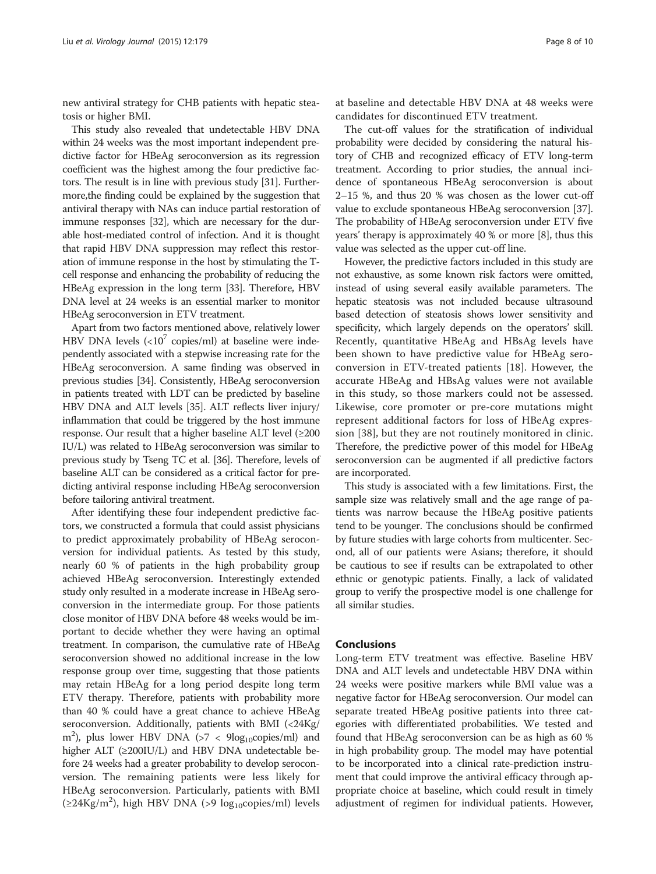new antiviral strategy for CHB patients with hepatic steatosis or higher BMI.

This study also revealed that undetectable HBV DNA within 24 weeks was the most important independent predictive factor for HBeAg seroconversion as its regression coefficient was the highest among the four predictive factors. The result is in line with previous study [\[31\]](#page-9-0). Furthermore,the finding could be explained by the suggestion that antiviral therapy with NAs can induce partial restoration of immune responses [[32](#page-9-0)], which are necessary for the durable host-mediated control of infection. And it is thought that rapid HBV DNA suppression may reflect this restoration of immune response in the host by stimulating the Tcell response and enhancing the probability of reducing the HBeAg expression in the long term [\[33](#page-9-0)]. Therefore, HBV DNA level at 24 weeks is an essential marker to monitor HBeAg seroconversion in ETV treatment.

Apart from two factors mentioned above, relatively lower HBV DNA levels  $\left($  <10<sup>7</sup> copies/ml) at baseline were independently associated with a stepwise increasing rate for the HBeAg seroconversion. A same finding was observed in previous studies [\[34\]](#page-9-0). Consistently, HBeAg seroconversion in patients treated with LDT can be predicted by baseline HBV DNA and ALT levels [\[35\]](#page-9-0). ALT reflects liver injury/ inflammation that could be triggered by the host immune response. Our result that a higher baseline ALT level (≥200 IU/L) was related to HBeAg seroconversion was similar to previous study by Tseng TC et al. [[36](#page-9-0)]. Therefore, levels of baseline ALT can be considered as a critical factor for predicting antiviral response including HBeAg seroconversion before tailoring antiviral treatment.

After identifying these four independent predictive factors, we constructed a formula that could assist physicians to predict approximately probability of HBeAg seroconversion for individual patients. As tested by this study, nearly 60 % of patients in the high probability group achieved HBeAg seroconversion. Interestingly extended study only resulted in a moderate increase in HBeAg seroconversion in the intermediate group. For those patients close monitor of HBV DNA before 48 weeks would be important to decide whether they were having an optimal treatment. In comparison, the cumulative rate of HBeAg seroconversion showed no additional increase in the low response group over time, suggesting that those patients may retain HBeAg for a long period despite long term ETV therapy. Therefore, patients with probability more than 40 % could have a great chance to achieve HBeAg seroconversion. Additionally, patients with BMI (<24Kg/ m<sup>2</sup>), plus lower HBV DNA (>7 < 9log<sub>10</sub>copies/ml) and higher ALT (≥200IU/L) and HBV DNA undetectable before 24 weeks had a greater probability to develop seroconversion. The remaining patients were less likely for HBeAg seroconversion. Particularly, patients with BMI  $(\geq 24 \text{Kg/m}^2)$ , high HBV DNA (>9 log<sub>10</sub>copies/ml) levels

at baseline and detectable HBV DNA at 48 weeks were candidates for discontinued ETV treatment.

The cut-off values for the stratification of individual probability were decided by considering the natural history of CHB and recognized efficacy of ETV long-term treatment. According to prior studies, the annual incidence of spontaneous HBeAg seroconversion is about 2–15 %, and thus 20 % was chosen as the lower cut-off value to exclude spontaneous HBeAg seroconversion [[37](#page-9-0)]. The probability of HBeAg seroconversion under ETV five years' therapy is approximately 40 % or more [\[8](#page-9-0)], thus this value was selected as the upper cut-off line.

However, the predictive factors included in this study are not exhaustive, as some known risk factors were omitted, instead of using several easily available parameters. The hepatic steatosis was not included because ultrasound based detection of steatosis shows lower sensitivity and specificity, which largely depends on the operators' skill. Recently, quantitative HBeAg and HBsAg levels have been shown to have predictive value for HBeAg seroconversion in ETV-treated patients [[18\]](#page-9-0). However, the accurate HBeAg and HBsAg values were not available in this study, so those markers could not be assessed. Likewise, core promoter or pre-core mutations might represent additional factors for loss of HBeAg expression [\[38](#page-9-0)], but they are not routinely monitored in clinic. Therefore, the predictive power of this model for HBeAg seroconversion can be augmented if all predictive factors are incorporated.

This study is associated with a few limitations. First, the sample size was relatively small and the age range of patients was narrow because the HBeAg positive patients tend to be younger. The conclusions should be confirmed by future studies with large cohorts from multicenter. Second, all of our patients were Asians; therefore, it should be cautious to see if results can be extrapolated to other ethnic or genotypic patients. Finally, a lack of validated group to verify the prospective model is one challenge for all similar studies.

# Conclusions

Long-term ETV treatment was effective. Baseline HBV DNA and ALT levels and undetectable HBV DNA within 24 weeks were positive markers while BMI value was a negative factor for HBeAg seroconversion. Our model can separate treated HBeAg positive patients into three categories with differentiated probabilities. We tested and found that HBeAg seroconversion can be as high as 60 % in high probability group. The model may have potential to be incorporated into a clinical rate-prediction instrument that could improve the antiviral efficacy through appropriate choice at baseline, which could result in timely adjustment of regimen for individual patients. However,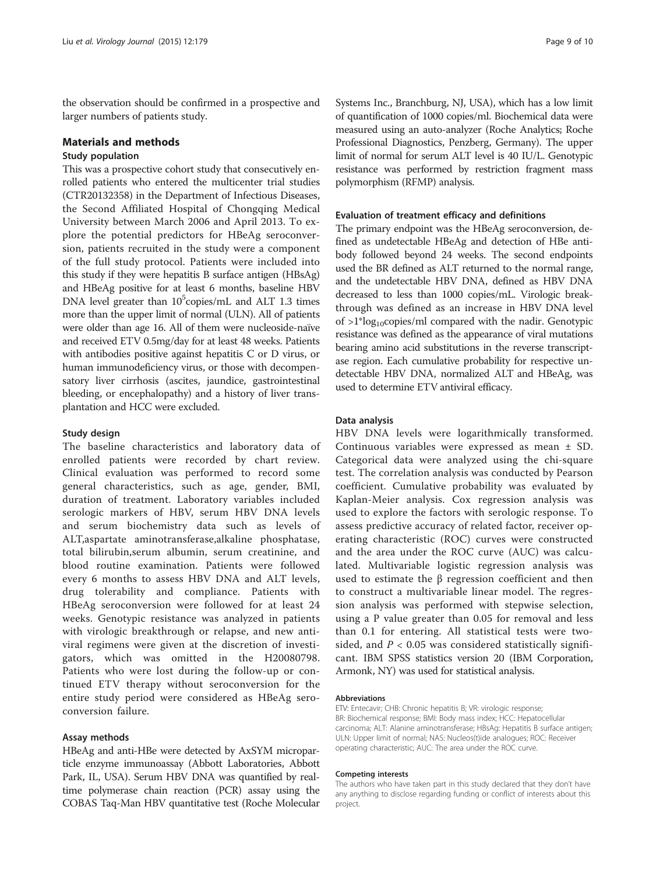the observation should be confirmed in a prospective and larger numbers of patients study.

# Materials and methods

# Study population

This was a prospective cohort study that consecutively enrolled patients who entered the multicenter trial studies (CTR20132358) in the Department of Infectious Diseases, the Second Affiliated Hospital of Chongqing Medical University between March 2006 and April 2013. To explore the potential predictors for HBeAg seroconversion, patients recruited in the study were a component of the full study protocol. Patients were included into this study if they were hepatitis B surface antigen (HBsAg) and HBeAg positive for at least 6 months, baseline HBV DNA level greater than 10<sup>5</sup>copies/mL and ALT 1.3 times more than the upper limit of normal (ULN). All of patients were older than age 16. All of them were nucleoside-naïve and received ETV 0.5mg/day for at least 48 weeks. Patients with antibodies positive against hepatitis C or D virus, or human immunodeficiency virus, or those with decompensatory liver cirrhosis (ascites, jaundice, gastrointestinal bleeding, or encephalopathy) and a history of liver transplantation and HCC were excluded.

# Study design

The baseline characteristics and laboratory data of enrolled patients were recorded by chart review. Clinical evaluation was performed to record some general characteristics, such as age, gender, BMI, duration of treatment. Laboratory variables included serologic markers of HBV, serum HBV DNA levels and serum biochemistry data such as levels of ALT,aspartate aminotransferase,alkaline phosphatase, total bilirubin,serum albumin, serum creatinine, and blood routine examination. Patients were followed every 6 months to assess HBV DNA and ALT levels, drug tolerability and compliance. Patients with HBeAg seroconversion were followed for at least 24 weeks. Genotypic resistance was analyzed in patients with virologic breakthrough or relapse, and new antiviral regimens were given at the discretion of investigators, which was omitted in the H20080798. Patients who were lost during the follow-up or continued ETV therapy without seroconversion for the entire study period were considered as HBeAg seroconversion failure.

# Assay methods

HBeAg and anti-HBe were detected by AxSYM microparticle enzyme immunoassay (Abbott Laboratories, Abbott Park, IL, USA). Serum HBV DNA was quantified by realtime polymerase chain reaction (PCR) assay using the COBAS Taq-Man HBV quantitative test (Roche Molecular

Systems Inc., Branchburg, NJ, USA), which has a low limit of quantification of 1000 copies/ml. Biochemical data were measured using an auto-analyzer (Roche Analytics; Roche Professional Diagnostics, Penzberg, Germany). The upper limit of normal for serum ALT level is 40 IU/L. Genotypic resistance was performed by restriction fragment mass polymorphism (RFMP) analysis.

# Evaluation of treatment efficacy and definitions

The primary endpoint was the HBeAg seroconversion, defined as undetectable HBeAg and detection of HBe antibody followed beyond 24 weeks. The second endpoints used the BR defined as ALT returned to the normal range, and the undetectable HBV DNA, defined as HBV DNA decreased to less than 1000 copies/mL. Virologic breakthrough was defined as an increase in HBV DNA level of  $>1$ <sup>\*</sup>log<sub>10</sub>copies/ml compared with the nadir. Genotypic resistance was defined as the appearance of viral mutations bearing amino acid substitutions in the reverse transcriptase region. Each cumulative probability for respective undetectable HBV DNA, normalized ALT and HBeAg, was used to determine ETV antiviral efficacy.

# Data analysis

HBV DNA levels were logarithmically transformed. Continuous variables were expressed as mean ± SD. Categorical data were analyzed using the chi-square test. The correlation analysis was conducted by Pearson coefficient. Cumulative probability was evaluated by Kaplan-Meier analysis. Cox regression analysis was used to explore the factors with serologic response. To assess predictive accuracy of related factor, receiver operating characteristic (ROC) curves were constructed and the area under the ROC curve (AUC) was calculated. Multivariable logistic regression analysis was used to estimate the β regression coefficient and then to construct a multivariable linear model. The regression analysis was performed with stepwise selection, using a P value greater than 0.05 for removal and less than 0.1 for entering. All statistical tests were twosided, and  $P < 0.05$  was considered statistically significant. IBM SPSS statistics version 20 (IBM Corporation, Armonk, NY) was used for statistical analysis.

## Abbreviations

ETV: Entecavir; CHB: Chronic hepatitis B; VR: virologic response; BR: Biochemical response; BMI: Body mass index; HCC: Hepatocellular carcinoma; ALT: Alanine aminotransferase; HBsAg: Hepatitis B surface antigen; ULN: Upper limit of normal; NAS: Nucleos(t)ide analogues; ROC: Receiver operating characteristic; AUC: The area under the ROC curve.

#### Competing interests

The authors who have taken part in this study declared that they don't have any anything to disclose regarding funding or conflict of interests about this project.